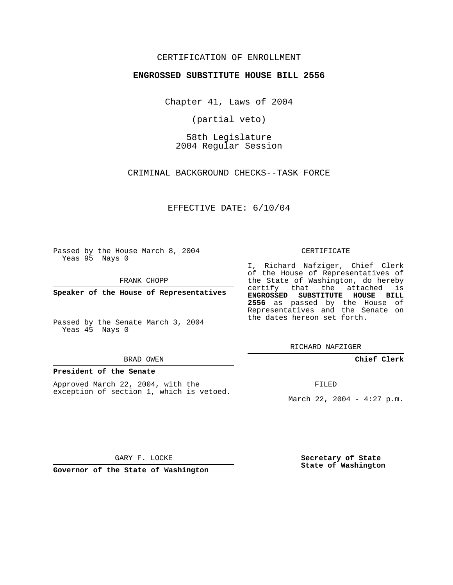## CERTIFICATION OF ENROLLMENT

### **ENGROSSED SUBSTITUTE HOUSE BILL 2556**

Chapter 41, Laws of 2004

(partial veto)

58th Legislature 2004 Regular Session

CRIMINAL BACKGROUND CHECKS--TASK FORCE

EFFECTIVE DATE: 6/10/04

Passed by the House March 8, 2004 Yeas 95 Nays 0

FRANK CHOPP

**Speaker of the House of Representatives**

Passed by the Senate March 3, 2004 Yeas 45 Nays 0

#### BRAD OWEN

### **President of the Senate**

Approved March 22, 2004, with the exception of section 1, which is vetoed.

#### CERTIFICATE

I, Richard Nafziger, Chief Clerk of the House of Representatives of the State of Washington, do hereby certify that the attached is **ENGROSSED SUBSTITUTE HOUSE BILL 2556** as passed by the House of Representatives and the Senate on the dates hereon set forth.

RICHARD NAFZIGER

**Chief Clerk**

FILED

March 22, 2004 - 4:27 p.m.

GARY F. LOCKE

**Governor of the State of Washington**

**Secretary of State State of Washington**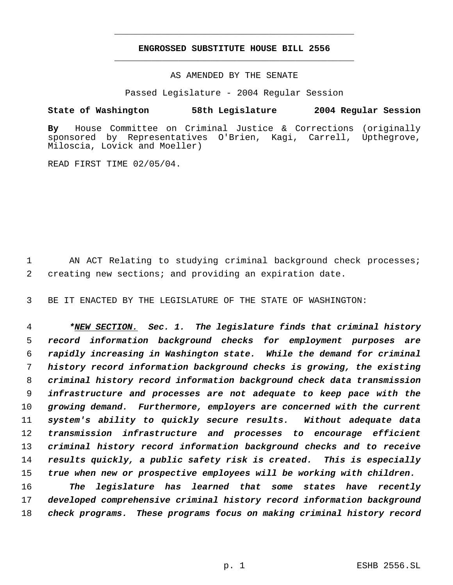# **ENGROSSED SUBSTITUTE HOUSE BILL 2556** \_\_\_\_\_\_\_\_\_\_\_\_\_\_\_\_\_\_\_\_\_\_\_\_\_\_\_\_\_\_\_\_\_\_\_\_\_\_\_\_\_\_\_\_\_

\_\_\_\_\_\_\_\_\_\_\_\_\_\_\_\_\_\_\_\_\_\_\_\_\_\_\_\_\_\_\_\_\_\_\_\_\_\_\_\_\_\_\_\_\_

AS AMENDED BY THE SENATE

Passed Legislature - 2004 Regular Session

## **State of Washington 58th Legislature 2004 Regular Session**

**By** House Committee on Criminal Justice & Corrections (originally sponsored by Representatives O'Brien, Kagi, Carrell, Upthegrove, Miloscia, Lovick and Moeller)

READ FIRST TIME 02/05/04.

1 AN ACT Relating to studying criminal background check processes; 2 creating new sections; and providing an expiration date.

3 BE IT ENACTED BY THE LEGISLATURE OF THE STATE OF WASHINGTON:

 *\*NEW SECTION. Sec. 1. The legislature finds that criminal history record information background checks for employment purposes are rapidly increasing in Washington state. While the demand for criminal history record information background checks is growing, the existing criminal history record information background check data transmission infrastructure and processes are not adequate to keep pace with the growing demand. Furthermore, employers are concerned with the current system's ability to quickly secure results. Without adequate data transmission infrastructure and processes to encourage efficient criminal history record information background checks and to receive results quickly, a public safety risk is created. This is especially true when new or prospective employees will be working with children.*

16 *The legislature has learned that some states have recently* 17 *developed comprehensive criminal history record information background* 18 *check programs. These programs focus on making criminal history record*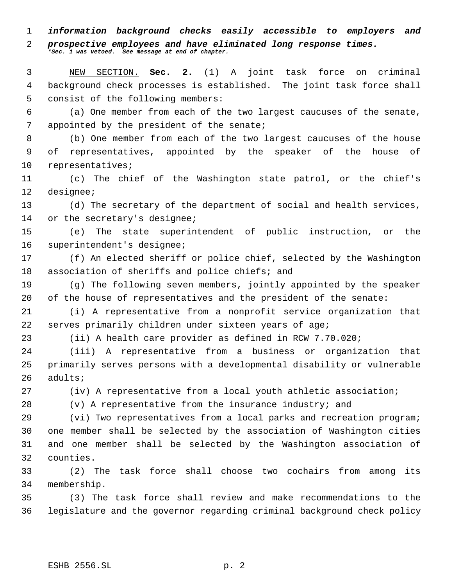*information background checks easily accessible to employers and*

### *prospective employees and have eliminated long response times. \*Sec. 1 was vetoed. See message at end of chapter.*

 NEW SECTION. **Sec. 2.** (1) A joint task force on criminal background check processes is established. The joint task force shall consist of the following members:

 (a) One member from each of the two largest caucuses of the senate, 7 appointed by the president of the senate;

 (b) One member from each of the two largest caucuses of the house of representatives, appointed by the speaker of the house of representatives;

 (c) The chief of the Washington state patrol, or the chief's designee;

 (d) The secretary of the department of social and health services, 14 or the secretary's designee;

 (e) The state superintendent of public instruction, or the superintendent's designee;

 (f) An elected sheriff or police chief, selected by the Washington association of sheriffs and police chiefs; and

 (g) The following seven members, jointly appointed by the speaker of the house of representatives and the president of the senate:

 (i) A representative from a nonprofit service organization that serves primarily children under sixteen years of age;

(ii) A health care provider as defined in RCW 7.70.020;

 (iii) A representative from a business or organization that primarily serves persons with a developmental disability or vulnerable adults;

(iv) A representative from a local youth athletic association;

(v) A representative from the insurance industry; and

 (vi) Two representatives from a local parks and recreation program; one member shall be selected by the association of Washington cities and one member shall be selected by the Washington association of counties.

 (2) The task force shall choose two cochairs from among its membership.

 (3) The task force shall review and make recommendations to the legislature and the governor regarding criminal background check policy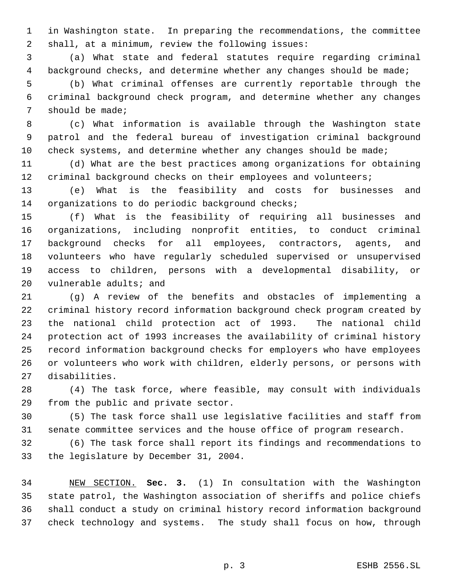in Washington state. In preparing the recommendations, the committee shall, at a minimum, review the following issues:

 (a) What state and federal statutes require regarding criminal background checks, and determine whether any changes should be made;

 (b) What criminal offenses are currently reportable through the criminal background check program, and determine whether any changes should be made;

 (c) What information is available through the Washington state patrol and the federal bureau of investigation criminal background 10 check systems, and determine whether any changes should be made;

 (d) What are the best practices among organizations for obtaining criminal background checks on their employees and volunteers;

 (e) What is the feasibility and costs for businesses and organizations to do periodic background checks;

 (f) What is the feasibility of requiring all businesses and organizations, including nonprofit entities, to conduct criminal background checks for all employees, contractors, agents, and volunteers who have regularly scheduled supervised or unsupervised access to children, persons with a developmental disability, or vulnerable adults; and

 (g) A review of the benefits and obstacles of implementing a criminal history record information background check program created by the national child protection act of 1993. The national child protection act of 1993 increases the availability of criminal history record information background checks for employers who have employees or volunteers who work with children, elderly persons, or persons with disabilities.

 (4) The task force, where feasible, may consult with individuals from the public and private sector.

 (5) The task force shall use legislative facilities and staff from senate committee services and the house office of program research.

 (6) The task force shall report its findings and recommendations to the legislature by December 31, 2004.

 NEW SECTION. **Sec. 3.** (1) In consultation with the Washington state patrol, the Washington association of sheriffs and police chiefs shall conduct a study on criminal history record information background check technology and systems. The study shall focus on how, through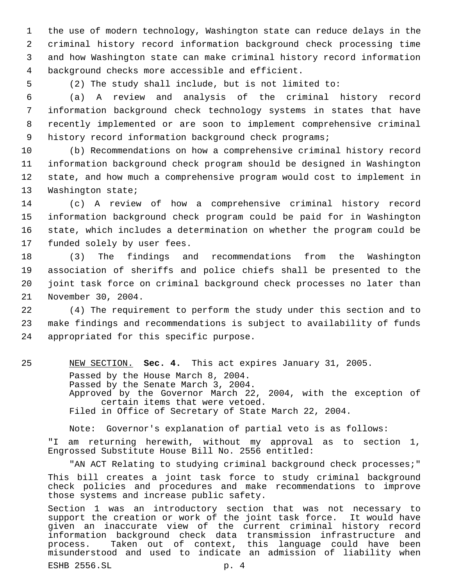the use of modern technology, Washington state can reduce delays in the criminal history record information background check processing time and how Washington state can make criminal history record information background checks more accessible and efficient.

5 (2) The study shall include, but is not limited to:

 (a) A review and analysis of the criminal history record information background check technology systems in states that have recently implemented or are soon to implement comprehensive criminal history record information background check programs;

 (b) Recommendations on how a comprehensive criminal history record information background check program should be designed in Washington state, and how much a comprehensive program would cost to implement in Washington state;

 (c) A review of how a comprehensive criminal history record information background check program could be paid for in Washington state, which includes a determination on whether the program could be funded solely by user fees.

 (3) The findings and recommendations from the Washington association of sheriffs and police chiefs shall be presented to the joint task force on criminal background check processes no later than November 30, 2004.

22 (4) The requirement to perform the study under this section and to 23 make findings and recommendations is subject to availability of funds 24 appropriated for this specific purpose.

25 NEW SECTION. **Sec. 4.** This act expires January 31, 2005. Passed by the House March 8, 2004. Passed by the Senate March 3, 2004. Approved by the Governor March 22, 2004, with the exception of certain items that were vetoed. Filed in Office of Secretary of State March 22, 2004.

Note: Governor's explanation of partial veto is as follows: "I am returning herewith, without my approval as to section 1, Engrossed Substitute House Bill No. 2556 entitled:

"AN ACT Relating to studying criminal background check processes;" This bill creates a joint task force to study criminal background check policies and procedures and make recommendations to improve those systems and increase public safety.

Section 1 was an introductory section that was not necessary to support the creation or work of the joint task force. It would have given an inaccurate view of the current criminal history record information background check data transmission infrastructure and Taken out of context, this language could have been misunderstood and used to indicate an admission of liability when

ESHB 2556.SL p. 4